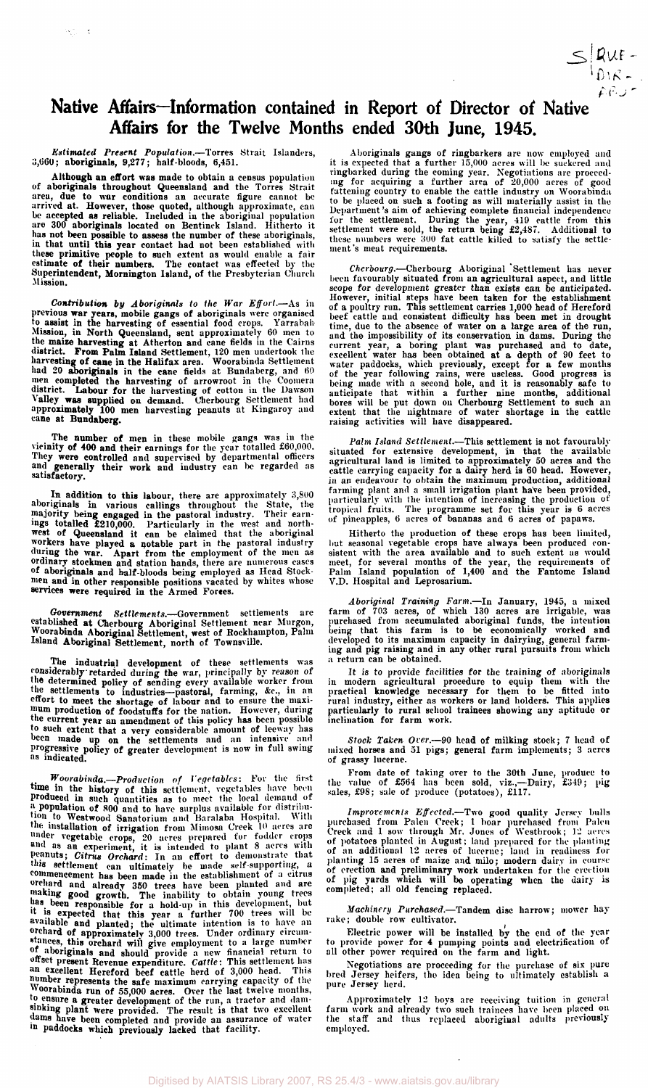

## **Native Affairs—Information contained in Report of Director of Native Affairs for the Twelve Months ended 30th June, 1945.**

*Estimated Present Population,*—Torres Strait Islanders, 3,660 aboriginals, 9,277; half-bloods, 6,451.

网络三角

Although an effort was made to obtain a census population<br>of aboriginals throughout Queensland and the Torres Strait<br>area, due to war conditions an accurate figure cannot be<br>arrived at. However, those quoted, although appr

Contribution by Aboriginals to the War Effort.—As in<br>previous war years, mobile gangs of aboriginals were organised<br>to assist in the harvesting of essential food crops. Yarrabah<br>Mission, in North Queensland, sent approxima

The number of men in these mobile gangs was in the<br>vieinity of 400 and their earnings for the year totalled £60,000.<br>They were controlled and supervised by departmental officers<br>and generally their work and industry can be

In addition to this labour, there are approximately 3,800<br>aboriginals in various callings throughout the State, the<br>majority being engaged in the pastoral industry. Their earn-<br>ings totalled £210,000. Particularly in the

*Government Settlements.*—Government settlements are <sup>established</sup> at Cherbourg Aboriginal Settlement near Murgon,<br>Woorabinda Aboriginal Settlement, west of Rockhampton, Palm<br><sup>Island</sup> Aboriginal Settlement, north of Townsville.

The industrial development of these settlements was<br>considerably retarded during the war, principally by reason of<br>the determined policy of sending every available worker from<br>the settlements to industries—pastoral, farmin

*Woorabinda.*—*Production of Vegetables:* For the first time in the history of this settlement, vegetables have been produced in such quantities as to meet the local demand of a population of 800 and to have surplus available for distribu-tion to Westwood Sanatorium and Baralaba Hospital. With the installation of irrigation from Mimosa Creek 10 acres arc under vegetable crops, 20 acres prepared for fodder crops and as an experiment, it is intended to plant 8 acres with Peanuts; *Citrus Orchard:* In an effort to demonstrate that this settlement can ultimately be made self-supporting, a commencement has been made in the establishment of a citrus orchard and already 350 trees have been planted and are making good growth. The inability to obtain young trees has been responsible for a hold-up in this development, but it is expected that this year a further 700 trees will be available and planted; the ultimate intention is to have an orchard of approximately 3,000 trees. Under ordinary circum-stances, this orchard will give employment to a large number of aboriginals and should provide a new financial return to offset present Revenue expenditure. *Cattle:* This settlement has an excellent Hereford beef cattle herd of 3,000 head. This number represents the safe maximum carrying capacity of the Woorabinda run of 55,000 acres. Over the last twelve months, to ensure a greater development of the run, a tractor and dam-sinking plant were provided. The result is that two excellent dams have been completed and provide an assurance of water in paddocks which previously lacked that facility.

Aboriginals gangs of ringbarkers are now employed and<br>it is expected that a further  $15,000$  acres will be suckered and<br>ringbarked during the coming year. Negotiations are proceed-<br>img for acquiring a further area of  $20,$ 

Cherbourg.—Cherbourg Aboriginal Settlement has never<br>been favourably situated from an agricultural aspect, and little<br>scope for development greater than exists can be anticipated.<br>However, initial steps have been taken for

Palm Island Settlement.—This settlement is not favourably<br>situated for extensive development, in that the available<br>agricultural land is imited to approximately 50 acres and the<br>eattle carrying capacity for a dairy herd is

Hitherto the production of these crops has been limited,<br>but seasonal vegetable crops have always been produced con-<br>sistent with the area available and to such extent as would<br>meet, for several months of the year, the req

Aboriginal Training Farm.—In January, 1945, a mixed<br>farm of 703 acres, of which 130 acres are irrigable, was<br>purchased from accumulated aboriginal funds, the intention<br>being that this farm is to be economically worked and<br>

It is to provide facilities for the training of aboriginals<br>in modern agricultural procedure to equip them with the<br>practical knowledge necessary for them to be fitted into<br>rural industry, either as workers or land holders

*Stock Taken Over.*—90 head of milking stock; 7 head of mixed horses and 51 pigs; general farm implements; 3 acres of grassy lucerne.

From date of taking over to the 30th June, produce to the value of £564 has been sold, viz.,—Dairy, £349; pig sales, £98; sale of produce (potatoes), £117.

Improvements Effected.—Two good quality Jersey bulls<br>purchased from Palen Creek; 1 boar purchased from Palen<br>Creek and 1 sow through Mr. Jones of Westbrook; 12 aeres<br>of potatoes planted in August; land prepared for the pla of erection and preliminary work undertaken for the erection<br>of pig yards which will be operating when the dairy is<br>completed; all old fencing replaced.

*Machinery Purchased.*—Tandem disc harrow; mower hay rake; double row cultivator.

Electric power will be installed by the end of the year to provide power for 4 pumping points and electrification of all other power required on the farm and light.

Negotiations are proceeding for the purchase of six pure bred Jersey heifers, the idea being to ultimately establish a pure Jersey herd.

Approximately 12 boys are receiving tuition in general farm work and already two such trainees have been placed on the staff and thus replaced aboriginal adults previously employed.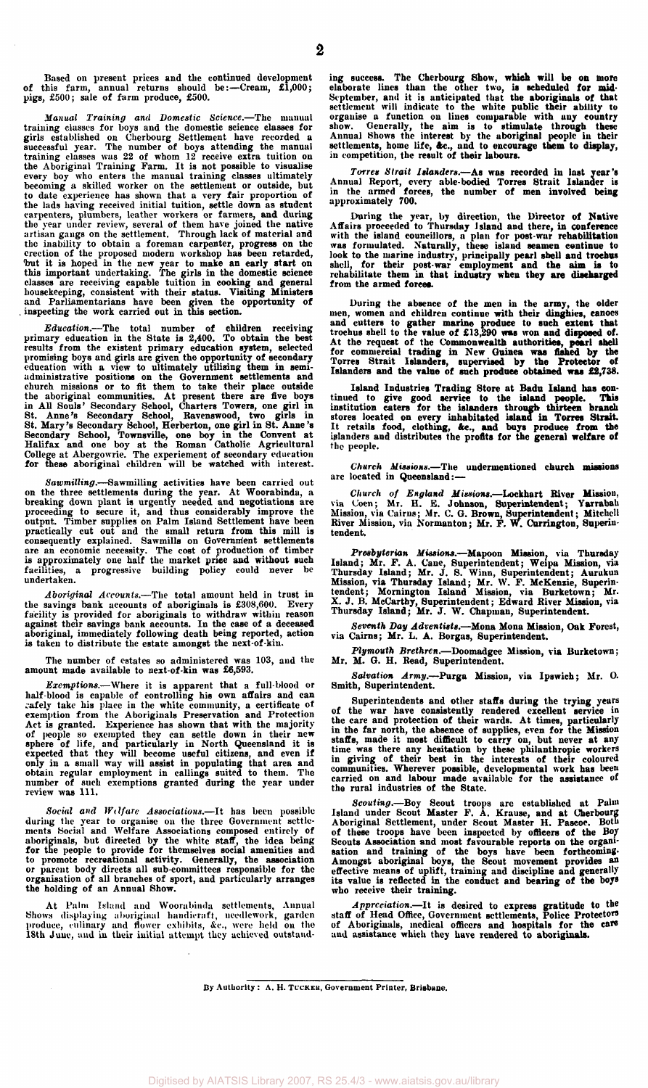**Based on present prices and the continued development of this farm, annual returns should be:—Cream, £1,000; pigs, £500; sale of farm produce, £500.** 

Manual Training and Domestic Science.—The manual<br>training classes for boys and the domestic science classes for<br>girls established on Cherbourg Settlement have recorded a<br>successful year. The number of boys attending the ma becoming a skilled worker on the settlement or outside, but<br>to date experience has shown that a very fair proportion of<br>the lads having received initial tuition, settle down as student<br>carpenters, plumbers, leather workers

Education.—The total number of children receiving<br>primary education in the State is 2,400. To obtain the best<br>results from the existent primary education system, selected<br>promising boys and girls are given the opportunity

Sawmilling.—Sawmilling activities have been carried out<br>on the three settlements during the year. At Woorabinda, a<br>breaking down plant is urgently needed and negotiations are<br>proceeding to secure it, and thus considerably

*Aboriginal Accounts.***—The total amount held in trust in**  the savings bank accounts of aboriginals is £308,600. Every facility is provided for aboriginals to withdraw within reason against their savings bank accounts. In the case of a deceased aboriginal, immediately following de

**The number of estates so administered was 103, and the amount made available to next-of-kin was £6,593.** 

*Exemptions.***—Where it is apparent that a full-blood or**  half-blood is capable of controlling his own affairs and can<br>cafely take his place in the white community, a certificate of<br>exemption from the Aboriginals Preservation and Protection<br>Act is granted. Experience has shown th

*Social and Wilfarc Associations.***—It has been possible**  during the year to organise on the three Government settlements Social and Welfare Associations composed entirely of aboriginals, but directed by the white staff, the idea being for the people to provide for themselves soc **the holding of an Annual Show.** 

**At Palm Island and Woorabinda settlements, Annual Shows displaying aboriginal handicraft, needlework, garden produce, culinary and flower exhibits, &c, were held on tho 18th June, and in their initial attempt they achieved outstand-** ing success. The Cherbourg Show, which will be on more elaborate lines than the other two, is scheduled for mid-<br>September, and it is anticipated that the aboriginals of that<br>settlement will indicate to the white public th

Torres Strait Islanders.—As was recorded in last year's<br>Annual Report, every able-bodied Torres Strait Islander is<br>in the armed forces, the number of men involved being<br>approximately 700.

During the year, by direction, the Director of Native<br>Affairs proceeded to Thursday Island and there, in conference<br>with the island councillors, a plan for post-war rehabilitation<br>was formulated. Naturally, these island se from the armed forces.

During the absence of the men in the army, the older<br>men, women and children continue with their dinghies, canoes<br>and cutters to gather marine produce to such extent that<br>trochus shell to the value of £13,290 was won and

**Island Industries Trading Store at Badu Island has con**tinued to give good service to the island people. This<br>institution caters for the islanders through thirteen branch<br>stores located on every inhabitated island in Torres Strait.<br>It retails food, clothing, &c., and buys prod **the people.** 

*Church Missions.***—The undermentioned church missions are located in Queensland:—** 

Church of England Missions.—Lockhart River Mission,<br>via Coen; Mr. H. E. Johnson, Superintendent; Yarrabah<br>Mission, via Cairns; Mr. C. G. Brown, Superintendent; Mitchell<br>River Mission, via Normanton; Mr. F. W. Currington, S **tendent.** 

Presbyterian Missions.—Mapoon Mission, via Thursday<br>Island; Mr. F. A. Cane, Superintendent; Weipa Mission, via<br>Thursday Island; Mr. J. S. Winn, Superintendent; Aurukun<br>Mission, via Thursday Island; Mr. W. F. McKenzie, Supe

*Seventh Day Adventists.***—Mona Mona Mission, Oak Forest, via Cairns; Mr. L. A. Borgas, Superintendent.** 

*Plymouth Brethren.***—Doomadgee Mission, via Burketown; Mr. M. G. H. Read, Superintendent.** 

*Salvation Army.***—Purga Mission, via Ipswich; Mr. O. Smith, Superintendent.** 

Superintendents and other staffs during the trying years<br>of the war have consistently rendered excellent service in<br>the care and protection of their wards. At times, particularly<br>in the far north, the absence of supplies,

Scouting.—Boy Scout troops are established at Palm<br>Island under Scout Master F. A. Krause, and at Cherbourg<br>Aboriginal Settlement, under Scout Master H. Passoe. Both<br>of these troops have been inspected by officers of the B sation and training of the boys have been forthcoming-<br>Amongst aboriginal boys, the Scout movement provides an<br>effective means of uplift, training and discipline and generally<br>its value is reflected in the conduct and bear

*Appreciation.***—It is desired to express gratitude to the staff of Head Office, Government settlements, Police Protectors of Aboriginals, medical officers and hospitals for the care and assistance which they have rendered to aboriginals.** 

**By Authority : A. H. TUCKEB, Government Printer, Brisbane.**